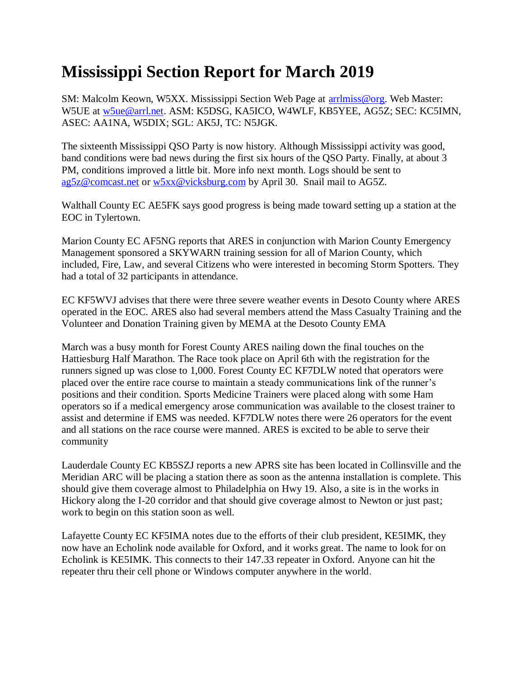## **Mississippi Section Report for March 2019**

SM: Malcolm Keown, W5XX. Mississippi Section Web Page at [arrlmiss@org.](mailto:arrlmiss@org) Web Master: W5UE at [w5ue@arrl.net.](mailto:w5ue@arrl.net) ASM: K5DSG, KA5ICO, W4WLF, KB5YEE, AG5Z; SEC: KC5IMN, ASEC: AA1NA, W5DIX; SGL: AK5J, TC: N5JGK.

The sixteenth Mississippi QSO Party is now history. Although Mississippi activity was good, band conditions were bad news during the first six hours of the QSO Party. Finally, at about 3 PM, conditions improved a little bit. More info next month. Logs should be sent to [ag5z@comcast.net](mailto:ag5z@comcast.net) or [w5xx@vicksburg.com](mailto:w5xx@vicksburg.com) by April 30. Snail mail to AG5Z.

Walthall County EC AE5FK says good progress is being made toward setting up a station at the EOC in Tylertown.

Marion County EC AF5NG reports that ARES in conjunction with Marion County Emergency Management sponsored a SKYWARN training session for all of Marion County, which included, Fire, Law, and several Citizens who were interested in becoming Storm Spotters. They had a total of 32 participants in attendance.

EC KF5WVJ advises that there were three severe weather events in Desoto County where ARES operated in the EOC. ARES also had several members attend the Mass Casualty Training and the Volunteer and Donation Training given by MEMA at the Desoto County EMA

March was a busy month for Forest County ARES nailing down the final touches on the Hattiesburg Half Marathon. The Race took place on April 6th with the registration for the runners signed up was close to 1,000. Forest County EC KF7DLW noted that operators were placed over the entire race course to maintain a steady communications link of the runner's positions and their condition. Sports Medicine Trainers were placed along with some Ham operators so if a medical emergency arose communication was available to the closest trainer to assist and determine if EMS was needed. KF7DLW notes there were 26 operators for the event and all stations on the race course were manned. ARES is excited to be able to serve their community

Lauderdale County EC KB5SZJ reports a new APRS site has been located in Collinsville and the Meridian ARC will be placing a station there as soon as the antenna installation is complete. This should give them coverage almost to Philadelphia on Hwy 19. Also, a site is in the works in Hickory along the I-20 corridor and that should give coverage almost to Newton or just past; work to begin on this station soon as well.

Lafayette County EC KF5IMA notes due to the efforts of their club president, KE5IMK, they now have an Echolink node available for Oxford, and it works great. The name to look for on Echolink is KE5IMK. This connects to their 147.33 repeater in Oxford. Anyone can hit the repeater thru their cell phone or Windows computer anywhere in the world.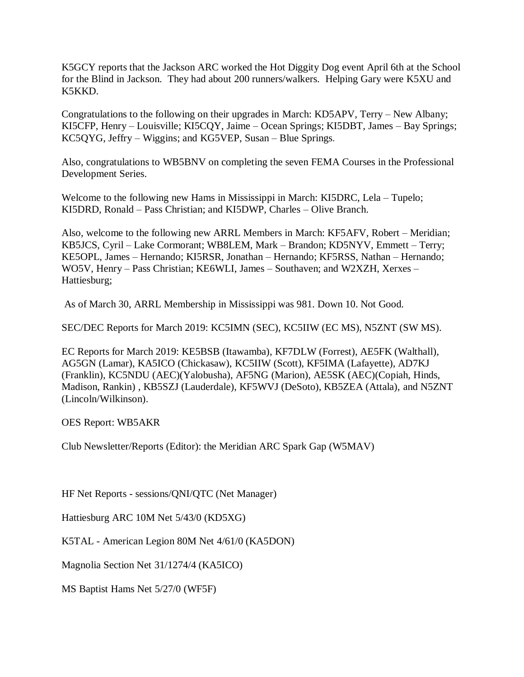K5GCY reports that the Jackson ARC worked the Hot Diggity Dog event April 6th at the School for the Blind in Jackson. They had about 200 runners/walkers. Helping Gary were K5XU and K5KKD.

Congratulations to the following on their upgrades in March: KD5APV, Terry – New Albany; KI5CFP, Henry – Louisville; KI5CQY, Jaime – Ocean Springs; KI5DBT, James – Bay Springs; KC5QYG, Jeffry – Wiggins; and KG5VEP, Susan – Blue Springs.

Also, congratulations to WB5BNV on completing the seven FEMA Courses in the Professional Development Series.

Welcome to the following new Hams in Mississippi in March: KI5DRC, Lela – Tupelo; KI5DRD, Ronald – Pass Christian; and KI5DWP, Charles – Olive Branch.

Also, welcome to the following new ARRL Members in March: KF5AFV, Robert – Meridian; KB5JCS, Cyril – Lake Cormorant; WB8LEM, Mark – Brandon; KD5NYV, Emmett – Terry; KE5OPL, James – Hernando; KI5RSR, Jonathan – Hernando; KF5RSS, Nathan – Hernando; WO5V, Henry – Pass Christian; KE6WLI, James – Southaven; and W2XZH, Xerxes – Hattiesburg;

As of March 30, ARRL Membership in Mississippi was 981. Down 10. Not Good.

SEC/DEC Reports for March 2019: KC5IMN (SEC), KC5IIW (EC MS), N5ZNT (SW MS).

EC Reports for March 2019: KE5BSB (Itawamba), KF7DLW (Forrest), AE5FK (Walthall), AG5GN (Lamar), KA5ICO (Chickasaw), KC5IIW (Scott), KF5IMA (Lafayette), AD7KJ (Franklin), KC5NDU (AEC)(Yalobusha), AF5NG (Marion), AE5SK (AEC)(Copiah, Hinds, Madison, Rankin) , KB5SZJ (Lauderdale), KF5WVJ (DeSoto), KB5ZEA (Attala), and N5ZNT (Lincoln/Wilkinson).

OES Report: WB5AKR

Club Newsletter/Reports (Editor): the Meridian ARC Spark Gap (W5MAV)

HF Net Reports - sessions/QNI/QTC (Net Manager)

Hattiesburg ARC 10M Net 5/43/0 (KD5XG)

K5TAL - American Legion 80M Net 4/61/0 (KA5DON)

Magnolia Section Net 31/1274/4 (KA5ICO)

MS Baptist Hams Net 5/27/0 (WF5F)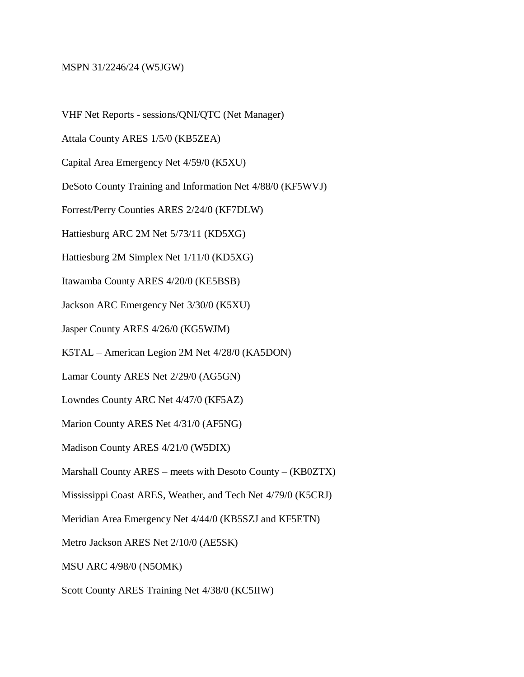## MSPN 31/2246/24 (W5JGW)

VHF Net Reports - sessions/QNI/QTC (Net Manager)

Attala County ARES 1/5/0 (KB5ZEA)

Capital Area Emergency Net 4/59/0 (K5XU)

DeSoto County Training and Information Net 4/88/0 (KF5WVJ)

Forrest/Perry Counties ARES 2/24/0 (KF7DLW)

Hattiesburg ARC 2M Net 5/73/11 (KD5XG)

Hattiesburg 2M Simplex Net 1/11/0 (KD5XG)

Itawamba County ARES 4/20/0 (KE5BSB)

Jackson ARC Emergency Net 3/30/0 (K5XU)

Jasper County ARES 4/26/0 (KG5WJM)

K5TAL – American Legion 2M Net 4/28/0 (KA5DON)

Lamar County ARES Net 2/29/0 (AG5GN)

Lowndes County ARC Net 4/47/0 (KF5AZ)

Marion County ARES Net 4/31/0 (AF5NG)

Madison County ARES 4/21/0 (W5DIX)

Marshall County ARES – meets with Desoto County – (KB0ZTX)

Mississippi Coast ARES, Weather, and Tech Net 4/79/0 (K5CRJ)

Meridian Area Emergency Net 4/44/0 (KB5SZJ and KF5ETN)

Metro Jackson ARES Net 2/10/0 (AE5SK)

MSU ARC 4/98/0 (N5OMK)

Scott County ARES Training Net 4/38/0 (KC5IIW)